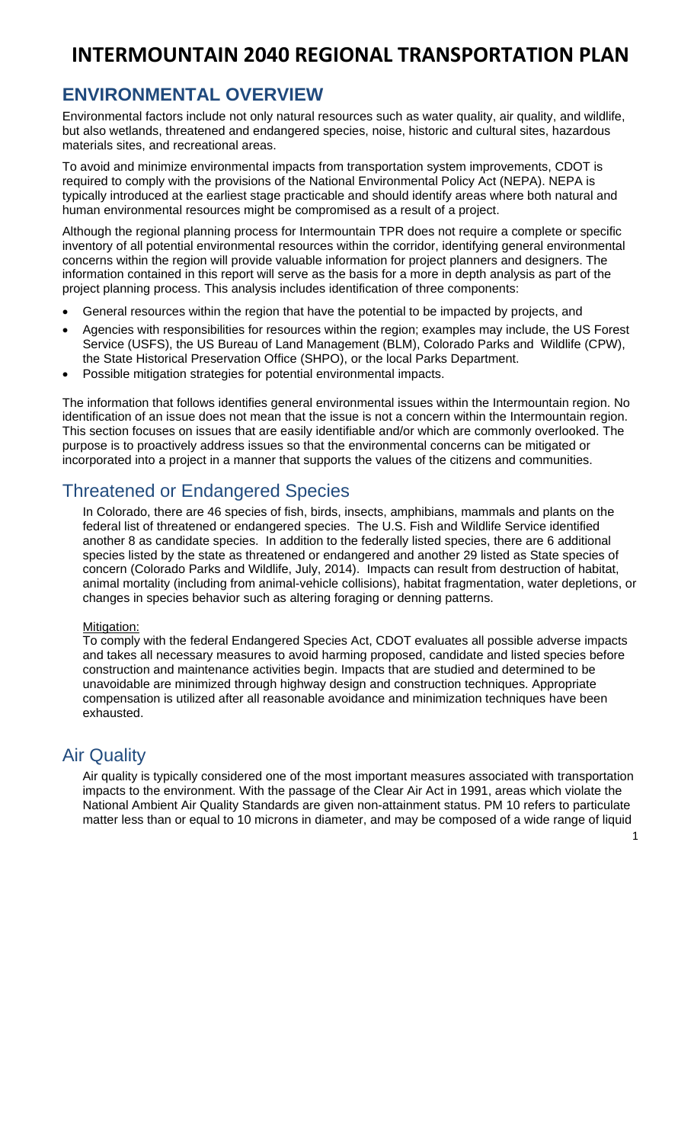## **ENVIRONMENTAL OVERVIEW**

Environmental factors include not only natural resources such as water quality, air quality, and wildlife, but also wetlands, threatened and endangered species, noise, historic and cultural sites, hazardous materials sites, and recreational areas.

To avoid and minimize environmental impacts from transportation system improvements, CDOT is required to comply with the provisions of the National Environmental Policy Act (NEPA). NEPA is typically introduced at the earliest stage practicable and should identify areas where both natural and human environmental resources might be compromised as a result of a project.

Although the regional planning process for Intermountain TPR does not require a complete or specific inventory of all potential environmental resources within the corridor, identifying general environmental concerns within the region will provide valuable information for project planners and designers. The information contained in this report will serve as the basis for a more in depth analysis as part of the project planning process. This analysis includes identification of three components:

- General resources within the region that have the potential to be impacted by projects, and
- Agencies with responsibilities for resources within the region; examples may include, the US Forest Service (USFS), the US Bureau of Land Management (BLM), Colorado Parks and Wildlife (CPW), the State Historical Preservation Office (SHPO), or the local Parks Department.
- Possible mitigation strategies for potential environmental impacts.

The information that follows identifies general environmental issues within the Intermountain region. No identification of an issue does not mean that the issue is not a concern within the Intermountain region. This section focuses on issues that are easily identifiable and/or which are commonly overlooked. The purpose is to proactively address issues so that the environmental concerns can be mitigated or incorporated into a project in a manner that supports the values of the citizens and communities.

## Threatened or Endangered Species

In Colorado, there are 46 species of fish, birds, insects, amphibians, mammals and plants on the federal list of threatened or endangered species. The U.S. Fish and Wildlife Service identified another 8 as candidate species. In addition to the federally listed species, there are 6 additional species listed by the state as threatened or endangered and another 29 listed as State species of concern (Colorado Parks and Wildlife, July, 2014). Impacts can result from destruction of habitat, animal mortality (including from animal-vehicle collisions), habitat fragmentation, water depletions, or changes in species behavior such as altering foraging or denning patterns.

### Mitigation:

To comply with the federal Endangered Species Act, CDOT evaluates all possible adverse impacts and takes all necessary measures to avoid harming proposed, candidate and listed species before construction and maintenance activities begin. Impacts that are studied and determined to be unavoidable are minimized through highway design and construction techniques. Appropriate compensation is utilized after all reasonable avoidance and minimization techniques have been exhausted.

### Air Quality

Air quality is typically considered one of the most important measures associated with transportation impacts to the environment. With the passage of the Clear Air Act in 1991, areas which violate the National Ambient Air Quality Standards are given non-attainment status. PM 10 refers to particulate matter less than or equal to 10 microns in diameter, and may be composed of a wide range of liquid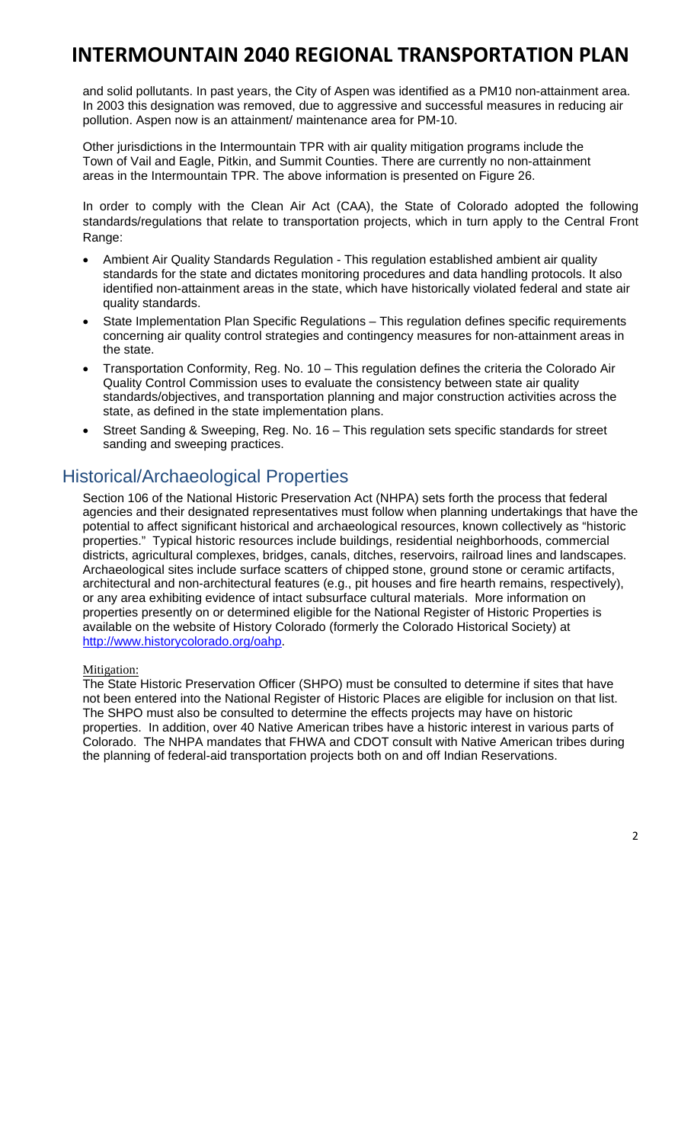and solid pollutants. In past years, the City of Aspen was identified as a PM10 non-attainment area. In 2003 this designation was removed, due to aggressive and successful measures in reducing air pollution. Aspen now is an attainment/ maintenance area for PM-10.

Other jurisdictions in the Intermountain TPR with air quality mitigation programs include the Town of Vail and Eagle, Pitkin, and Summit Counties. There are currently no non-attainment areas in the Intermountain TPR. The above information is presented on Figure 26.

In order to comply with the Clean Air Act (CAA), the State of Colorado adopted the following standards/regulations that relate to transportation projects, which in turn apply to the Central Front Range:

- Ambient Air Quality Standards Regulation This regulation established ambient air quality standards for the state and dictates monitoring procedures and data handling protocols. It also identified non-attainment areas in the state, which have historically violated federal and state air quality standards.
- State Implementation Plan Specific Regulations This regulation defines specific requirements concerning air quality control strategies and contingency measures for non-attainment areas in the state.
- Transportation Conformity, Reg. No. 10 This regulation defines the criteria the Colorado Air Quality Control Commission uses to evaluate the consistency between state air quality standards/objectives, and transportation planning and major construction activities across the state, as defined in the state implementation plans.
- Street Sanding & Sweeping, Reg. No. 16 This regulation sets specific standards for street sanding and sweeping practices.

### Historical/Archaeological Properties

Section 106 of the National Historic Preservation Act (NHPA) sets forth the process that federal agencies and their designated representatives must follow when planning undertakings that have the potential to affect significant historical and archaeological resources, known collectively as "historic properties." Typical historic resources include buildings, residential neighborhoods, commercial districts, agricultural complexes, bridges, canals, ditches, reservoirs, railroad lines and landscapes. Archaeological sites include surface scatters of chipped stone, ground stone or ceramic artifacts, architectural and non-architectural features (e.g., pit houses and fire hearth remains, respectively), or any area exhibiting evidence of intact subsurface cultural materials. More information on properties presently on or determined eligible for the National Register of Historic Properties is available on the website of History Colorado (formerly the Colorado Historical Society) at http://www.historycolorado.org/oahp.

### Mitigation:

The State Historic Preservation Officer (SHPO) must be consulted to determine if sites that have not been entered into the National Register of Historic Places are eligible for inclusion on that list. The SHPO must also be consulted to determine the effects projects may have on historic properties. In addition, over 40 Native American tribes have a historic interest in various parts of Colorado. The NHPA mandates that FHWA and CDOT consult with Native American tribes during the planning of federal-aid transportation projects both on and off Indian Reservations.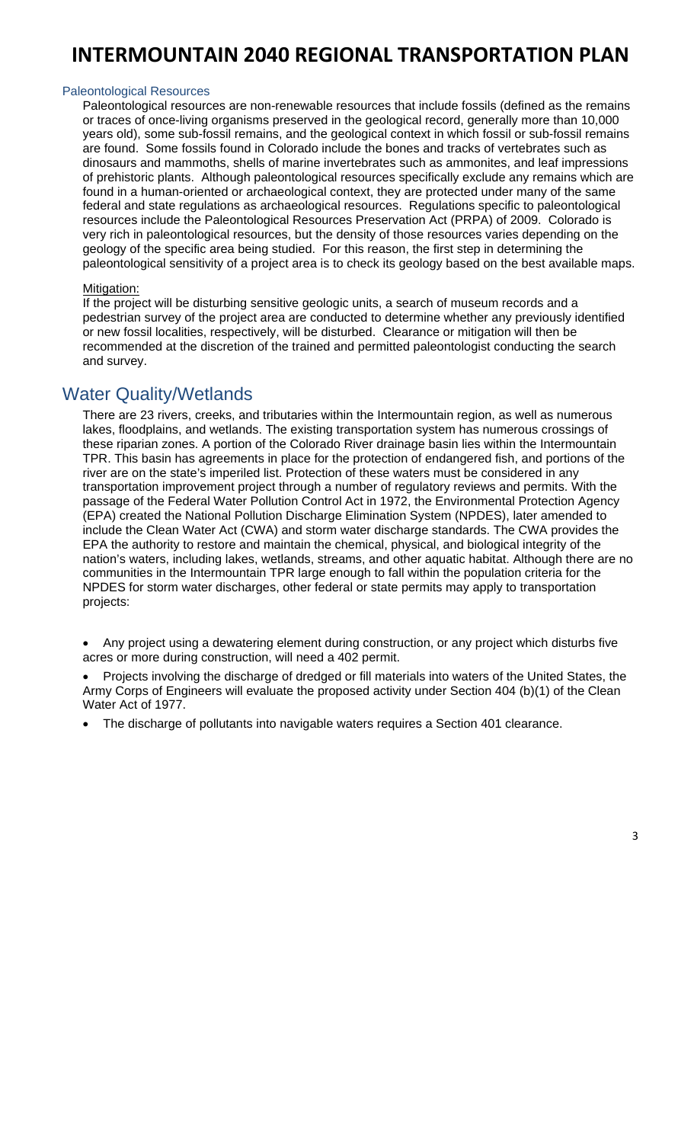#### Paleontological Resources

Paleontological resources are non-renewable resources that include fossils (defined as the remains or traces of once-living organisms preserved in the geological record, generally more than 10,000 years old), some sub-fossil remains, and the geological context in which fossil or sub-fossil remains are found. Some fossils found in Colorado include the bones and tracks of vertebrates such as dinosaurs and mammoths, shells of marine invertebrates such as ammonites, and leaf impressions of prehistoric plants. Although paleontological resources specifically exclude any remains which are found in a human-oriented or archaeological context, they are protected under many of the same federal and state regulations as archaeological resources. Regulations specific to paleontological resources include the Paleontological Resources Preservation Act (PRPA) of 2009. Colorado is very rich in paleontological resources, but the density of those resources varies depending on the geology of the specific area being studied. For this reason, the first step in determining the paleontological sensitivity of a project area is to check its geology based on the best available maps.

#### Mitigation:

If the project will be disturbing sensitive geologic units, a search of museum records and a pedestrian survey of the project area are conducted to determine whether any previously identified or new fossil localities, respectively, will be disturbed. Clearance or mitigation will then be recommended at the discretion of the trained and permitted paleontologist conducting the search and survey.

### Water Quality/Wetlands

There are 23 rivers, creeks, and tributaries within the Intermountain region, as well as numerous lakes, floodplains, and wetlands. The existing transportation system has numerous crossings of these riparian zones. A portion of the Colorado River drainage basin lies within the Intermountain TPR. This basin has agreements in place for the protection of endangered fish, and portions of the river are on the state's imperiled list. Protection of these waters must be considered in any transportation improvement project through a number of regulatory reviews and permits. With the passage of the Federal Water Pollution Control Act in 1972, the Environmental Protection Agency (EPA) created the National Pollution Discharge Elimination System (NPDES), later amended to include the Clean Water Act (CWA) and storm water discharge standards. The CWA provides the EPA the authority to restore and maintain the chemical, physical, and biological integrity of the nation's waters, including lakes, wetlands, streams, and other aquatic habitat. Although there are no communities in the Intermountain TPR large enough to fall within the population criteria for the NPDES for storm water discharges, other federal or state permits may apply to transportation projects:

 Any project using a dewatering element during construction, or any project which disturbs five acres or more during construction, will need a 402 permit.

 Projects involving the discharge of dredged or fill materials into waters of the United States, the Army Corps of Engineers will evaluate the proposed activity under Section 404 (b)(1) of the Clean Water Act of 1977.

The discharge of pollutants into navigable waters requires a Section 401 clearance.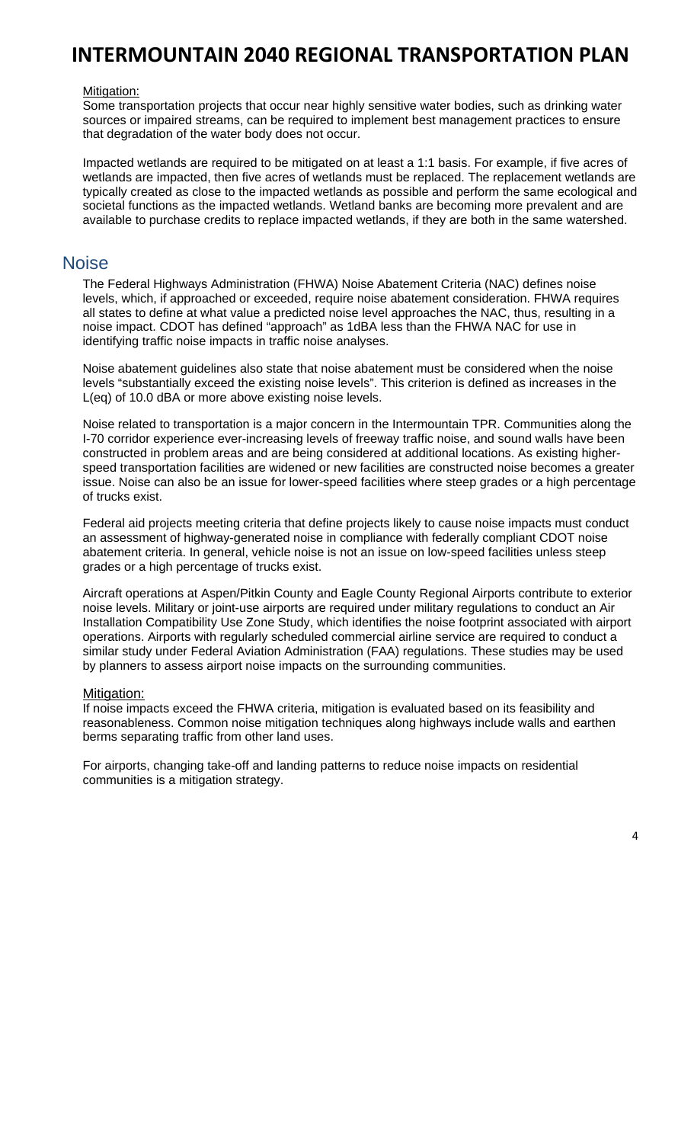#### Mitigation:

Some transportation projects that occur near highly sensitive water bodies, such as drinking water sources or impaired streams, can be required to implement best management practices to ensure that degradation of the water body does not occur.

Impacted wetlands are required to be mitigated on at least a 1:1 basis. For example, if five acres of wetlands are impacted, then five acres of wetlands must be replaced. The replacement wetlands are typically created as close to the impacted wetlands as possible and perform the same ecological and societal functions as the impacted wetlands. Wetland banks are becoming more prevalent and are available to purchase credits to replace impacted wetlands, if they are both in the same watershed.

### **Noise**

The Federal Highways Administration (FHWA) Noise Abatement Criteria (NAC) defines noise levels, which, if approached or exceeded, require noise abatement consideration. FHWA requires all states to define at what value a predicted noise level approaches the NAC, thus, resulting in a noise impact. CDOT has defined "approach" as 1dBA less than the FHWA NAC for use in identifying traffic noise impacts in traffic noise analyses.

Noise abatement guidelines also state that noise abatement must be considered when the noise levels "substantially exceed the existing noise levels". This criterion is defined as increases in the L(eq) of 10.0 dBA or more above existing noise levels.

Noise related to transportation is a major concern in the Intermountain TPR. Communities along the I-70 corridor experience ever-increasing levels of freeway traffic noise, and sound walls have been constructed in problem areas and are being considered at additional locations. As existing higherspeed transportation facilities are widened or new facilities are constructed noise becomes a greater issue. Noise can also be an issue for lower-speed facilities where steep grades or a high percentage of trucks exist.

Federal aid projects meeting criteria that define projects likely to cause noise impacts must conduct an assessment of highway-generated noise in compliance with federally compliant CDOT noise abatement criteria. In general, vehicle noise is not an issue on low-speed facilities unless steep grades or a high percentage of trucks exist.

Aircraft operations at Aspen/Pitkin County and Eagle County Regional Airports contribute to exterior noise levels. Military or joint-use airports are required under military regulations to conduct an Air Installation Compatibility Use Zone Study, which identifies the noise footprint associated with airport operations. Airports with regularly scheduled commercial airline service are required to conduct a similar study under Federal Aviation Administration (FAA) regulations. These studies may be used by planners to assess airport noise impacts on the surrounding communities.

### Mitigation:

If noise impacts exceed the FHWA criteria, mitigation is evaluated based on its feasibility and reasonableness. Common noise mitigation techniques along highways include walls and earthen berms separating traffic from other land uses.

For airports, changing take-off and landing patterns to reduce noise impacts on residential communities is a mitigation strategy.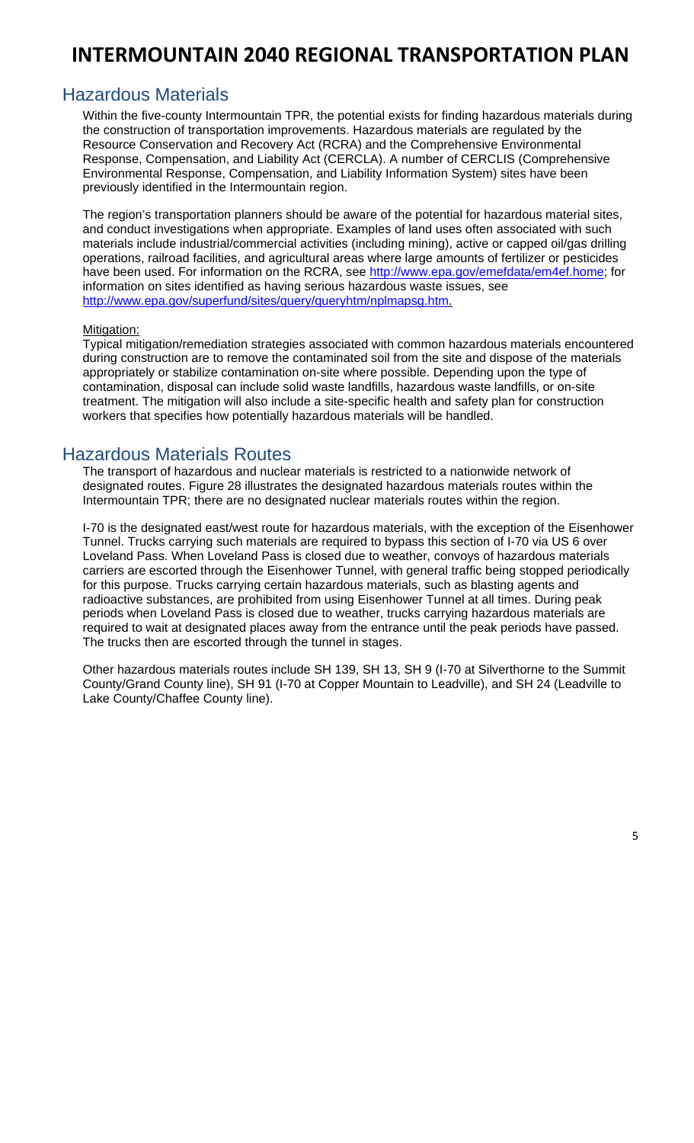### Hazardous Materials

Within the five-county Intermountain TPR, the potential exists for finding hazardous materials during the construction of transportation improvements. Hazardous materials are regulated by the Resource Conservation and Recovery Act (RCRA) and the Comprehensive Environmental Response, Compensation, and Liability Act (CERCLA). A number of CERCLIS (Comprehensive Environmental Response, Compensation, and Liability Information System) sites have been previously identified in the Intermountain region.

The region's transportation planners should be aware of the potential for hazardous material sites, and conduct investigations when appropriate. Examples of land uses often associated with such materials include industrial/commercial activities (including mining), active or capped oil/gas drilling operations, railroad facilities, and agricultural areas where large amounts of fertilizer or pesticides have been used. For information on the RCRA, see http://www.epa.gov/emefdata/em4ef.home; for information on sites identified as having serious hazardous waste issues, see http://www.epa.gov/superfund/sites/query/queryhtm/nplmapsg.htm.

#### Mitigation:

Typical mitigation/remediation strategies associated with common hazardous materials encountered during construction are to remove the contaminated soil from the site and dispose of the materials appropriately or stabilize contamination on-site where possible. Depending upon the type of contamination, disposal can include solid waste landfills, hazardous waste landfills, or on-site treatment. The mitigation will also include a site-specific health and safety plan for construction workers that specifies how potentially hazardous materials will be handled.

### Hazardous Materials Routes

The transport of hazardous and nuclear materials is restricted to a nationwide network of designated routes. Figure 28 illustrates the designated hazardous materials routes within the Intermountain TPR; there are no designated nuclear materials routes within the region.

I-70 is the designated east/west route for hazardous materials, with the exception of the Eisenhower Tunnel. Trucks carrying such materials are required to bypass this section of I-70 via US 6 over Loveland Pass. When Loveland Pass is closed due to weather, convoys of hazardous materials carriers are escorted through the Eisenhower Tunnel, with general traffic being stopped periodically for this purpose. Trucks carrying certain hazardous materials, such as blasting agents and radioactive substances, are prohibited from using Eisenhower Tunnel at all times. During peak periods when Loveland Pass is closed due to weather, trucks carrying hazardous materials are required to wait at designated places away from the entrance until the peak periods have passed. The trucks then are escorted through the tunnel in stages.

Other hazardous materials routes include SH 139, SH 13, SH 9 (I-70 at Silverthorne to the Summit County/Grand County line), SH 91 (I-70 at Copper Mountain to Leadville), and SH 24 (Leadville to Lake County/Chaffee County line).